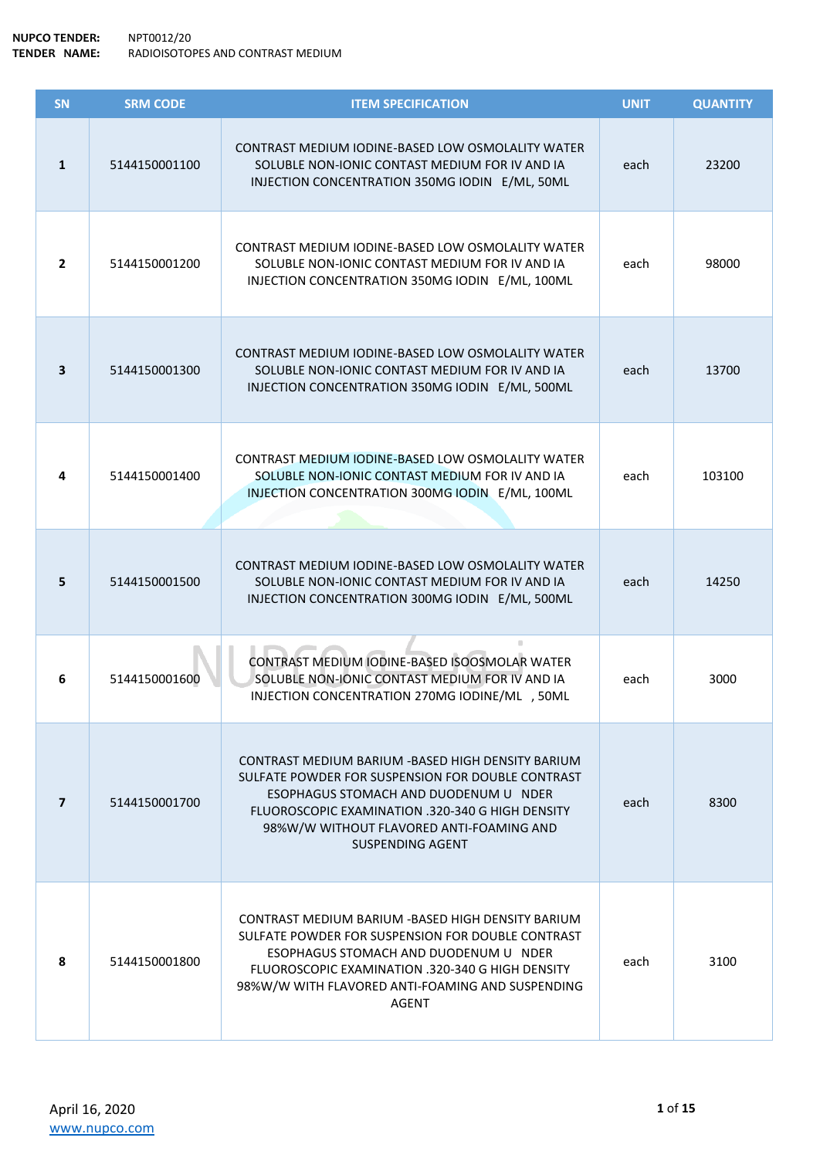| SN             | <b>SRM CODE</b> | <b>ITEM SPECIFICATION</b>                                                                                                                                                                                                                                                   | <b>UNIT</b> | <b>QUANTITY</b> |
|----------------|-----------------|-----------------------------------------------------------------------------------------------------------------------------------------------------------------------------------------------------------------------------------------------------------------------------|-------------|-----------------|
| $\mathbf{1}$   | 5144150001100   | CONTRAST MEDIUM IODINE-BASED LOW OSMOLALITY WATER<br>SOLUBLE NON-IONIC CONTAST MEDIUM FOR IV AND IA<br>INJECTION CONCENTRATION 350MG IODIN E/ML, 50ML                                                                                                                       | each        | 23200           |
| $\overline{2}$ | 5144150001200   | CONTRAST MEDIUM IODINE-BASED LOW OSMOLALITY WATER<br>SOLUBLE NON-IONIC CONTAST MEDIUM FOR IV AND IA<br>INJECTION CONCENTRATION 350MG IODIN E/ML, 100ML                                                                                                                      | each        | 98000           |
| 3              | 5144150001300   | CONTRAST MEDIUM IODINE-BASED LOW OSMOLALITY WATER<br>SOLUBLE NON-IONIC CONTAST MEDIUM FOR IV AND IA<br>INJECTION CONCENTRATION 350MG IODIN E/ML, 500ML                                                                                                                      | each        | 13700           |
| 4              | 5144150001400   | CONTRAST MEDIUM IODINE-BASED LOW OSMOLALITY WATER<br>SOLUBLE NON-IONIC CONTAST MEDIUM FOR IV AND IA<br>INJECTION CONCENTRATION 300MG IODIN E/ML, 100ML                                                                                                                      | each        | 103100          |
| 5              | 5144150001500   | CONTRAST MEDIUM IODINE-BASED LOW OSMOLALITY WATER<br>SOLUBLE NON-IONIC CONTAST MEDIUM FOR IV AND IA<br>INJECTION CONCENTRATION 300MG IODIN E/ML, 500ML                                                                                                                      | each        | 14250           |
| 6              | 5144150001600   | CONTRAST MEDIUM IODINE-BASED ISOOSMOLAR WATER<br>SOLUBLE NON-IONIC CONTAST MEDIUM FOR IV AND IA<br>INJECTION CONCENTRATION 270MG IODINE/ML , 50ML                                                                                                                           | each        | 3000            |
| $\mathbf{7}$   | 5144150001700   | CONTRAST MEDIUM BARIUM - BASED HIGH DENSITY BARIUM<br>SULFATE POWDER FOR SUSPENSION FOR DOUBLE CONTRAST<br>ESOPHAGUS STOMACH AND DUODENUM U NDER<br>FLUOROSCOPIC EXAMINATION .320-340 G HIGH DENSITY<br>98%W/W WITHOUT FLAVORED ANTI-FOAMING AND<br><b>SUSPENDING AGENT</b> | each        | 8300            |
| 8              | 5144150001800   | CONTRAST MEDIUM BARIUM - BASED HIGH DENSITY BARIUM<br>SULFATE POWDER FOR SUSPENSION FOR DOUBLE CONTRAST<br>ESOPHAGUS STOMACH AND DUODENUM U NDER<br>FLUOROSCOPIC EXAMINATION .320-340 G HIGH DENSITY<br>98%W/W WITH FLAVORED ANTI-FOAMING AND SUSPENDING<br>AGENT           | each        | 3100            |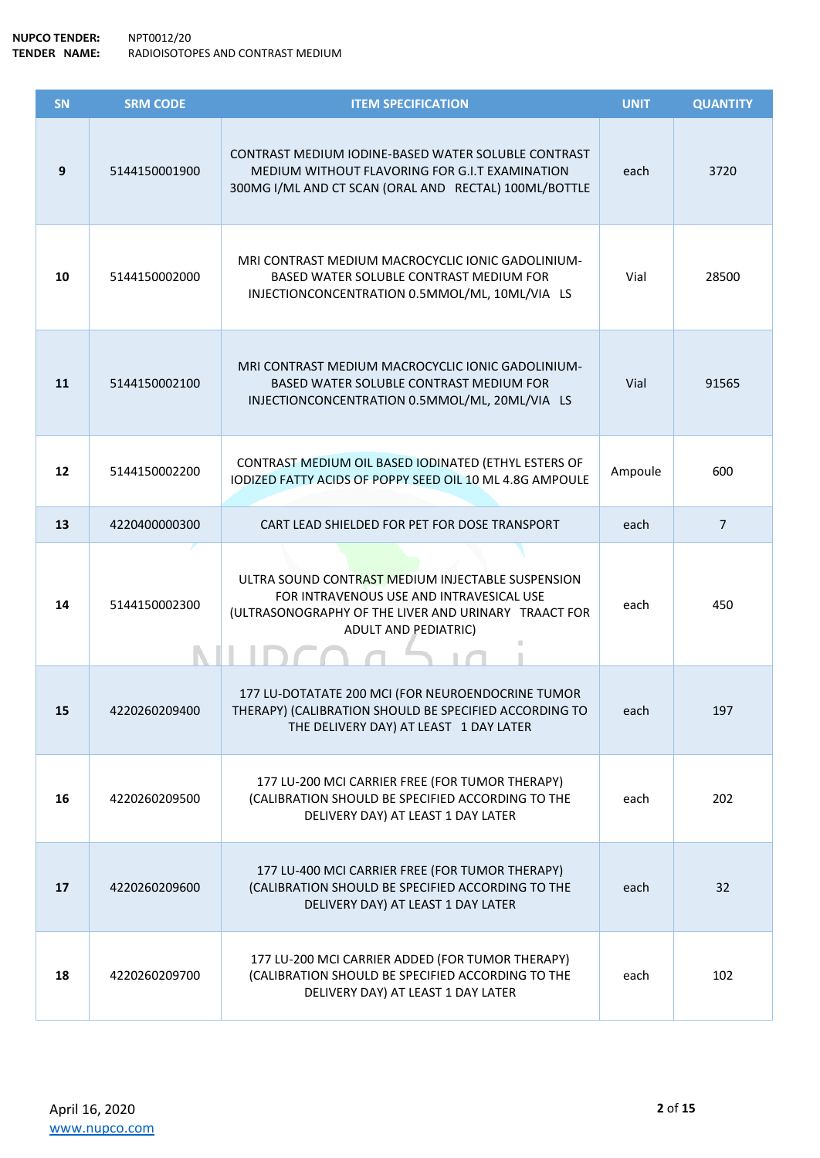| SN | <b>SRM CODE</b> | <b>ITEM SPECIFICATION</b>                                                                                                                                                            | <b>UNIT</b> | <b>QUANTITY</b> |
|----|-----------------|--------------------------------------------------------------------------------------------------------------------------------------------------------------------------------------|-------------|-----------------|
| 9  | 5144150001900   | CONTRAST MEDIUM IODINE-BASED WATER SOLUBLE CONTRAST<br>MEDIUM WITHOUT FLAVORING FOR G.I.T EXAMINATION<br>300MG I/ML AND CT SCAN (ORAL AND RECTAL) 100ML/BOTTLE                       | each        | 3720            |
| 10 | 5144150002000   | MRI CONTRAST MEDIUM MACROCYCLIC IONIC GADOLINIUM-<br>BASED WATER SOLUBLE CONTRAST MEDIUM FOR<br>INJECTIONCONCENTRATION 0.5MMOL/ML, 10ML/VIA LS                                       | Vial        | 28500           |
| 11 | 5144150002100   | MRI CONTRAST MEDIUM MACROCYCLIC IONIC GADOLINIUM-<br>BASED WATER SOLUBLE CONTRAST MEDIUM FOR<br>INJECTIONCONCENTRATION 0.5MMOL/ML, 20ML/VIA LS                                       | Vial        | 91565           |
| 12 | 5144150002200   | CONTRAST MEDIUM OIL BASED IODINATED (ETHYL ESTERS OF<br>IODIZED FATTY ACIDS OF POPPY SEED OIL 10 ML 4.8G AMPOULE                                                                     | Ampoule     | 600             |
| 13 | 4220400000300   | CART LEAD SHIELDED FOR PET FOR DOSE TRANSPORT                                                                                                                                        | each        | $\overline{7}$  |
| 14 | 5144150002300   | ULTRA SOUND CONTRAST MEDIUM INJECTABLE SUSPENSION<br>FOR INTRAVENOUS USE AND INTRAVESICAL USE<br>(ULTRASONOGRAPHY OF THE LIVER AND URINARY TRAACT FOR<br><b>ADULT AND PEDIATRIC)</b> | each        | 450             |
| 15 | 4220260209400   | 177 LU-DOTATATE 200 MCI (FOR NEUROENDOCRINE TUMOR<br>THERAPY) (CALIBRATION SHOULD BE SPECIFIED ACCORDING TO<br>THE DELIVERY DAY) AT LEAST 1 DAY LATER                                | each        | 197             |
| 16 | 4220260209500   | 177 LU-200 MCI CARRIER FREE (FOR TUMOR THERAPY)<br>(CALIBRATION SHOULD BE SPECIFIED ACCORDING TO THE<br>DELIVERY DAY) AT LEAST 1 DAY LATER                                           | each        | 202             |
| 17 | 4220260209600   | 177 LU-400 MCI CARRIER FREE (FOR TUMOR THERAPY)<br>(CALIBRATION SHOULD BE SPECIFIED ACCORDING TO THE<br>DELIVERY DAY) AT LEAST 1 DAY LATER                                           | each        | 32              |
| 18 | 4220260209700   | 177 LU-200 MCI CARRIER ADDED (FOR TUMOR THERAPY)<br>(CALIBRATION SHOULD BE SPECIFIED ACCORDING TO THE<br>DELIVERY DAY) AT LEAST 1 DAY LATER                                          | each        | 102             |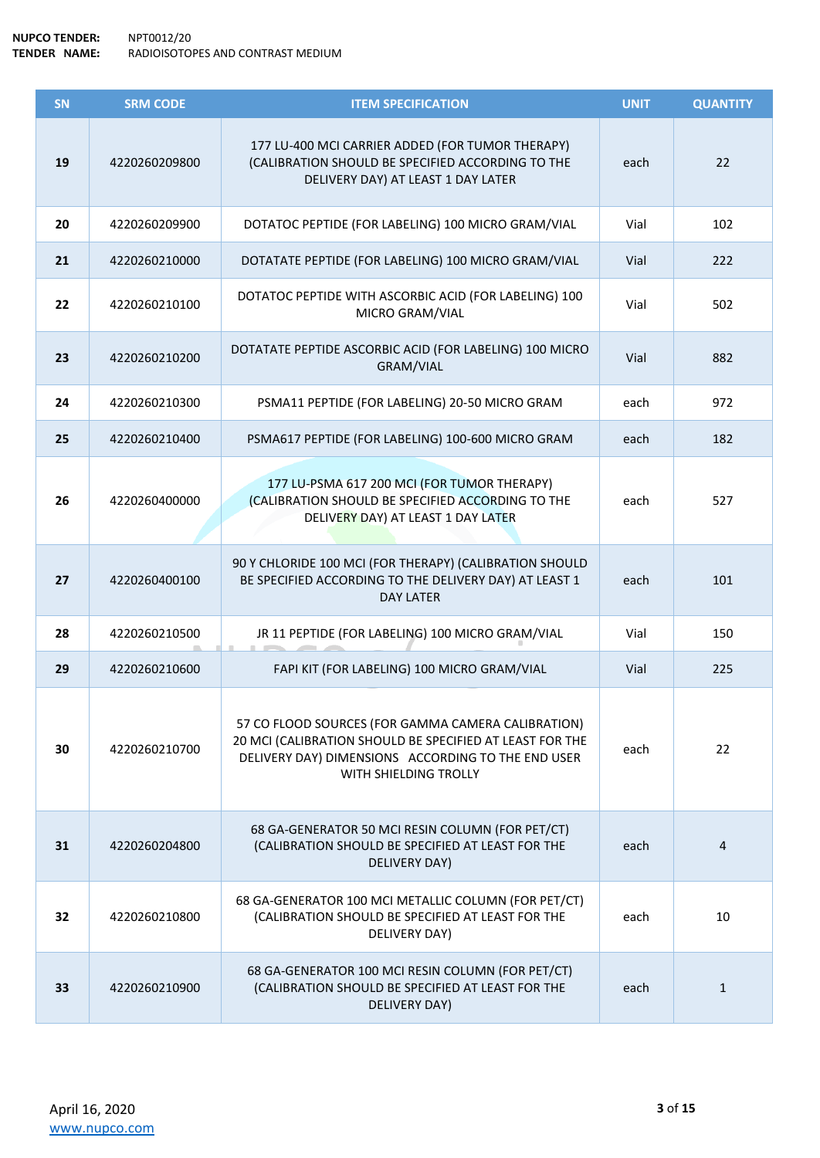| SN | <b>SRM CODE</b> | <b>ITEM SPECIFICATION</b>                                                                                                                                                                     | <b>UNIT</b> | <b>QUANTITY</b> |
|----|-----------------|-----------------------------------------------------------------------------------------------------------------------------------------------------------------------------------------------|-------------|-----------------|
| 19 | 4220260209800   | 177 LU-400 MCI CARRIER ADDED (FOR TUMOR THERAPY)<br>(CALIBRATION SHOULD BE SPECIFIED ACCORDING TO THE<br>DELIVERY DAY) AT LEAST 1 DAY LATER                                                   | each        | 22              |
| 20 | 4220260209900   | DOTATOC PEPTIDE (FOR LABELING) 100 MICRO GRAM/VIAL                                                                                                                                            | Vial        | 102             |
| 21 | 4220260210000   | DOTATATE PEPTIDE (FOR LABELING) 100 MICRO GRAM/VIAL                                                                                                                                           | Vial        | 222             |
| 22 | 4220260210100   | DOTATOC PEPTIDE WITH ASCORBIC ACID (FOR LABELING) 100<br>MICRO GRAM/VIAL                                                                                                                      | Vial        | 502             |
| 23 | 4220260210200   | DOTATATE PEPTIDE ASCORBIC ACID (FOR LABELING) 100 MICRO<br>GRAM/VIAL                                                                                                                          | Vial        | 882             |
| 24 | 4220260210300   | PSMA11 PEPTIDE (FOR LABELING) 20-50 MICRO GRAM                                                                                                                                                | each        | 972             |
| 25 | 4220260210400   | PSMA617 PEPTIDE (FOR LABELING) 100-600 MICRO GRAM                                                                                                                                             | each        | 182             |
| 26 | 4220260400000   | 177 LU-PSMA 617 200 MCI (FOR TUMOR THERAPY)<br>(CALIBRATION SHOULD BE SPECIFIED ACCORDING TO THE<br>DELIVERY DAY) AT LEAST 1 DAY LATER                                                        | each        | 527             |
| 27 | 4220260400100   | 90 Y CHLORIDE 100 MCI (FOR THERAPY) (CALIBRATION SHOULD<br>BE SPECIFIED ACCORDING TO THE DELIVERY DAY) AT LEAST 1<br><b>DAY LATER</b>                                                         | each        | 101             |
| 28 | 4220260210500   | JR 11 PEPTIDE (FOR LABELING) 100 MICRO GRAM/VIAL                                                                                                                                              | Vial        | 150             |
| 29 | 4220260210600   | FAPI KIT (FOR LABELING) 100 MICRO GRAM/VIAL                                                                                                                                                   | Vial        | 225             |
| 30 | 4220260210700   | 57 CO FLOOD SOURCES (FOR GAMMA CAMERA CALIBRATION)<br>20 MCI (CALIBRATION SHOULD BE SPECIFIED AT LEAST FOR THE<br>DELIVERY DAY) DIMENSIONS ACCORDING TO THE END USER<br>WITH SHIELDING TROLLY | each        | 22              |
| 31 | 4220260204800   | 68 GA-GENERATOR 50 MCI RESIN COLUMN (FOR PET/CT)<br>(CALIBRATION SHOULD BE SPECIFIED AT LEAST FOR THE<br>DELIVERY DAY)                                                                        | each        | 4               |
| 32 | 4220260210800   | 68 GA-GENERATOR 100 MCI METALLIC COLUMN (FOR PET/CT)<br>(CALIBRATION SHOULD BE SPECIFIED AT LEAST FOR THE<br>DELIVERY DAY)                                                                    | each        | 10              |
| 33 | 4220260210900   | 68 GA-GENERATOR 100 MCI RESIN COLUMN (FOR PET/CT)<br>(CALIBRATION SHOULD BE SPECIFIED AT LEAST FOR THE<br>DELIVERY DAY)                                                                       | each        | $\mathbf{1}$    |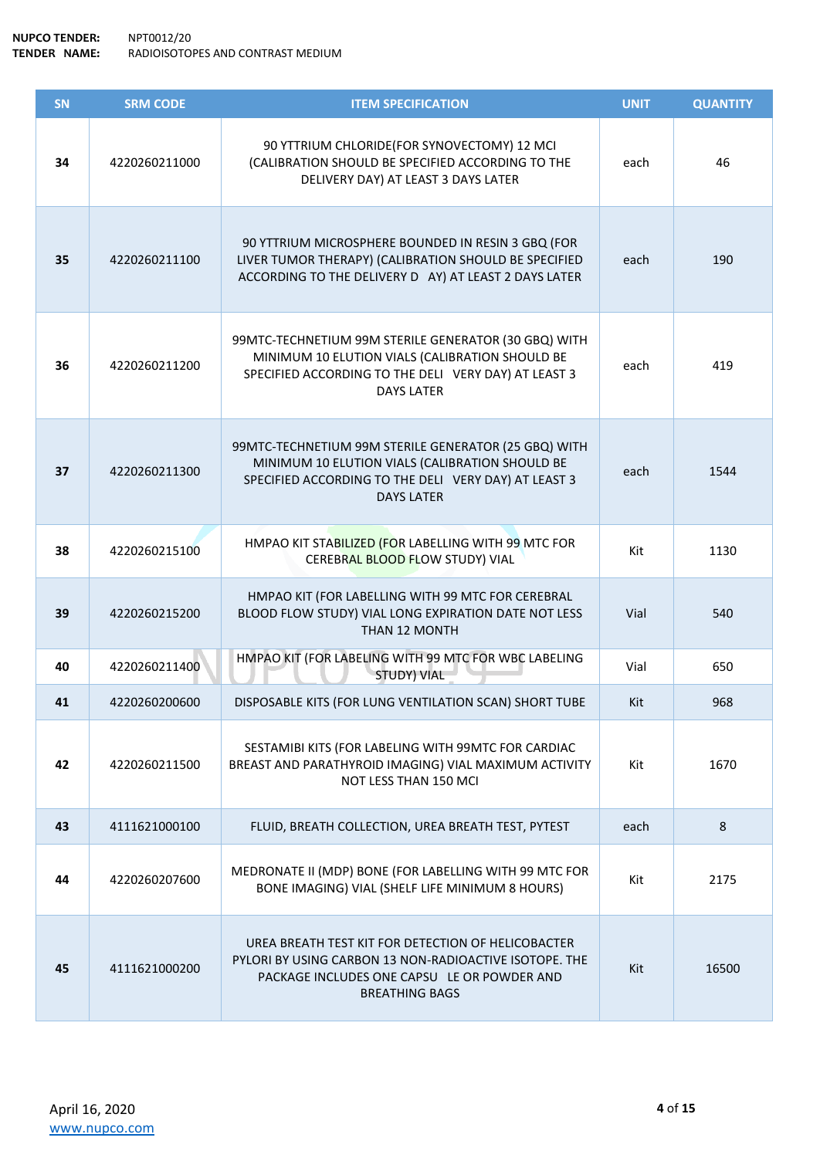| SN | <b>SRM CODE</b> | <b>ITEM SPECIFICATION</b>                                                                                                                                                            | <b>UNIT</b> | <b>QUANTITY</b> |
|----|-----------------|--------------------------------------------------------------------------------------------------------------------------------------------------------------------------------------|-------------|-----------------|
| 34 | 4220260211000   | 90 YTTRIUM CHLORIDE(FOR SYNOVECTOMY) 12 MCI<br>(CALIBRATION SHOULD BE SPECIFIED ACCORDING TO THE<br>DELIVERY DAY) AT LEAST 3 DAYS LATER                                              | each        | 46              |
| 35 | 4220260211100   | 90 YTTRIUM MICROSPHERE BOUNDED IN RESIN 3 GBQ (FOR<br>LIVER TUMOR THERAPY) (CALIBRATION SHOULD BE SPECIFIED<br>ACCORDING TO THE DELIVERY D AY) AT LEAST 2 DAYS LATER                 | each        | 190             |
| 36 | 4220260211200   | 99MTC-TECHNETIUM 99M STERILE GENERATOR (30 GBQ) WITH<br>MINIMUM 10 ELUTION VIALS (CALIBRATION SHOULD BE<br>SPECIFIED ACCORDING TO THE DELI VERY DAY) AT LEAST 3<br><b>DAYS LATER</b> | each        | 419             |
| 37 | 4220260211300   | 99MTC-TECHNETIUM 99M STERILE GENERATOR (25 GBQ) WITH<br>MINIMUM 10 ELUTION VIALS (CALIBRATION SHOULD BE<br>SPECIFIED ACCORDING TO THE DELI VERY DAY) AT LEAST 3<br><b>DAYS LATER</b> | each        | 1544            |
| 38 | 4220260215100   | HMPAO KIT STABILIZED (FOR LABELLING WITH 99 MTC FOR<br>CEREBRAL BLOOD FLOW STUDY) VIAL                                                                                               | Kit         | 1130            |
| 39 | 4220260215200   | HMPAO KIT (FOR LABELLING WITH 99 MTC FOR CEREBRAL<br>BLOOD FLOW STUDY) VIAL LONG EXPIRATION DATE NOT LESS<br>THAN 12 MONTH                                                           | Vial        | 540             |
| 40 | 4220260211400   | HMPAO KIT (FOR LABELING WITH 99 MTC FOR WBC LABELING<br><b>STUDY) VIAL</b>                                                                                                           | Vial        | 650             |
| 41 | 4220260200600   | DISPOSABLE KITS (FOR LUNG VENTILATION SCAN) SHORT TUBE                                                                                                                               | Kit         | 968             |
| 42 | 4220260211500   | SESTAMIBI KITS (FOR LABELING WITH 99MTC FOR CARDIAC<br>BREAST AND PARATHYROID IMAGING) VIAL MAXIMUM ACTIVITY<br>NOT LESS THAN 150 MCI                                                | Kit         | 1670            |
| 43 | 4111621000100   | FLUID, BREATH COLLECTION, UREA BREATH TEST, PYTEST                                                                                                                                   | each        | 8               |
| 44 | 4220260207600   | MEDRONATE II (MDP) BONE (FOR LABELLING WITH 99 MTC FOR<br>BONE IMAGING) VIAL (SHELF LIFE MINIMUM 8 HOURS)                                                                            | Kit         | 2175            |
| 45 | 4111621000200   | UREA BREATH TEST KIT FOR DETECTION OF HELICOBACTER<br>PYLORI BY USING CARBON 13 NON-RADIOACTIVE ISOTOPE. THE<br>PACKAGE INCLUDES ONE CAPSU LE OR POWDER AND<br><b>BREATHING BAGS</b> | Kit         | 16500           |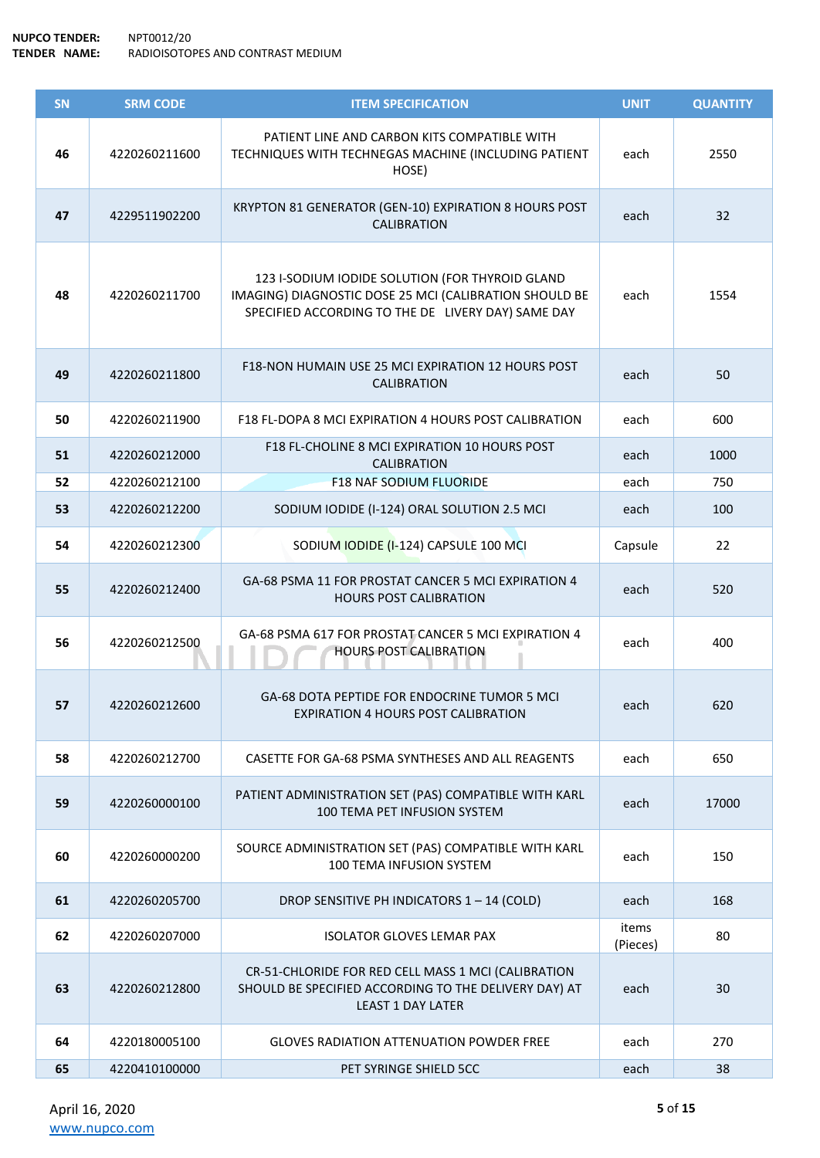## **NUPCO TENDER:** NPT0012/20 **TENDER NAME:** RADIOISOTOPES AND CONTRAST MEDIUM

| <b>SN</b> | <b>SRM CODE</b> | <b>ITEM SPECIFICATION</b>                                                                                                                                       | <b>UNIT</b>       | <b>QUANTITY</b> |
|-----------|-----------------|-----------------------------------------------------------------------------------------------------------------------------------------------------------------|-------------------|-----------------|
| 46        | 4220260211600   | PATIENT LINE AND CARBON KITS COMPATIBLE WITH<br>TECHNIQUES WITH TECHNEGAS MACHINE (INCLUDING PATIENT<br>HOSE)                                                   | each              | 2550            |
| 47        | 4229511902200   | KRYPTON 81 GENERATOR (GEN-10) EXPIRATION 8 HOURS POST<br><b>CALIBRATION</b>                                                                                     | each              | 32              |
| 48        | 4220260211700   | 123 I-SODIUM IODIDE SOLUTION (FOR THYROID GLAND<br>IMAGING) DIAGNOSTIC DOSE 25 MCI (CALIBRATION SHOULD BE<br>SPECIFIED ACCORDING TO THE DE LIVERY DAY) SAME DAY | each              | 1554            |
| 49        | 4220260211800   | F18-NON HUMAIN USE 25 MCI EXPIRATION 12 HOURS POST<br><b>CALIBRATION</b>                                                                                        | each              | 50              |
| 50        | 4220260211900   | F18 FL-DOPA 8 MCI EXPIRATION 4 HOURS POST CALIBRATION                                                                                                           | each              | 600             |
| 51        | 4220260212000   | F18 FL-CHOLINE 8 MCI EXPIRATION 10 HOURS POST<br>CALIBRATION                                                                                                    | each              | 1000            |
| 52        | 4220260212100   | <b>F18 NAF SODIUM FLUORIDE</b>                                                                                                                                  | each              | 750             |
| 53        | 4220260212200   | SODIUM IODIDE (I-124) ORAL SOLUTION 2.5 MCI                                                                                                                     | each              | 100             |
| 54        | 4220260212300   | SODIUM IODIDE (I-124) CAPSULE 100 MCI                                                                                                                           | Capsule           | 22              |
| 55        | 4220260212400   | GA-68 PSMA 11 FOR PROSTAT CANCER 5 MCI EXPIRATION 4<br><b>HOURS POST CALIBRATION</b>                                                                            | each              | 520             |
| 56        | 4220260212500   | GA-68 PSMA 617 FOR PROSTAT CANCER 5 MCI EXPIRATION 4<br><b>HOURS POST CALIBRATION</b>                                                                           | each              | 400             |
| 57        | 4220260212600   | GA-68 DOTA PEPTIDE FOR ENDOCRINE TUMOR 5 MCI<br><b>EXPIRATION 4 HOURS POST CALIBRATION</b>                                                                      | each              | 620             |
| 58        | 4220260212700   | CASETTE FOR GA-68 PSMA SYNTHESES AND ALL REAGENTS                                                                                                               | each              | 650             |
| 59        | 4220260000100   | PATIENT ADMINISTRATION SET (PAS) COMPATIBLE WITH KARL<br>100 TEMA PET INFUSION SYSTEM                                                                           | each              | 17000           |
| 60        | 4220260000200   | SOURCE ADMINISTRATION SET (PAS) COMPATIBLE WITH KARL<br>100 TEMA INFUSION SYSTEM                                                                                | each              | 150             |
| 61        | 4220260205700   | DROP SENSITIVE PH INDICATORS 1 - 14 (COLD)                                                                                                                      | each              | 168             |
| 62        | 4220260207000   | <b>ISOLATOR GLOVES LEMAR PAX</b>                                                                                                                                | items<br>(Pieces) | 80              |
| 63        | 4220260212800   | CR-51-CHLORIDE FOR RED CELL MASS 1 MCI (CALIBRATION<br>SHOULD BE SPECIFIED ACCORDING TO THE DELIVERY DAY) AT<br><b>LEAST 1 DAY LATER</b>                        | each              | 30              |
| 64        | 4220180005100   | <b>GLOVES RADIATION ATTENUATION POWDER FREE</b>                                                                                                                 | each              | 270             |
| 65        | 4220410100000   | PET SYRINGE SHIELD 5CC                                                                                                                                          | each              | 38              |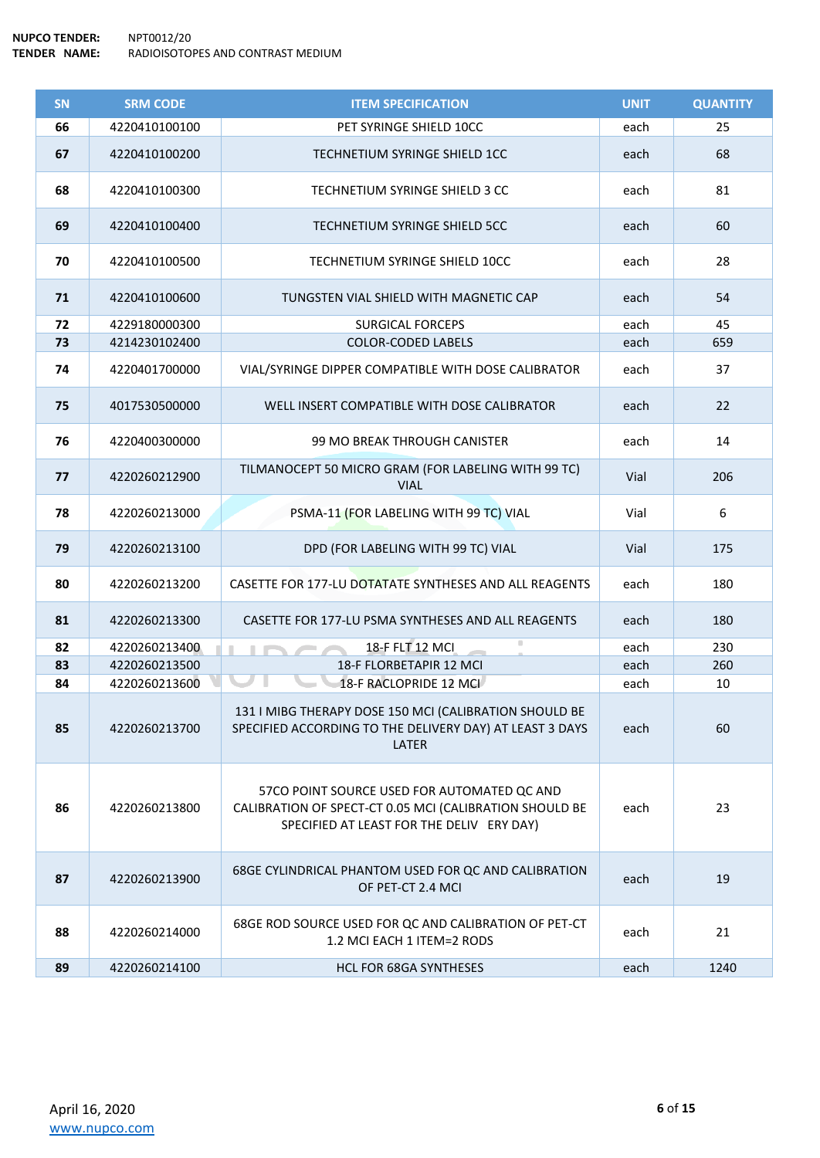| SN | <b>SRM CODE</b> | <b>ITEM SPECIFICATION</b>                                                                                                                           | <b>UNIT</b> | <b>QUANTITY</b> |
|----|-----------------|-----------------------------------------------------------------------------------------------------------------------------------------------------|-------------|-----------------|
| 66 | 4220410100100   | PET SYRINGE SHIELD 10CC                                                                                                                             | each        | 25              |
| 67 | 4220410100200   | TECHNETIUM SYRINGE SHIELD 1CC                                                                                                                       | each        | 68              |
| 68 | 4220410100300   | TECHNETIUM SYRINGE SHIELD 3 CC                                                                                                                      | each        | 81              |
| 69 | 4220410100400   | TECHNETIUM SYRINGE SHIELD 5CC                                                                                                                       | each        | 60              |
| 70 | 4220410100500   | TECHNETIUM SYRINGE SHIELD 10CC                                                                                                                      | each        | 28              |
| 71 | 4220410100600   | TUNGSTEN VIAL SHIELD WITH MAGNETIC CAP                                                                                                              | each        | 54              |
| 72 | 4229180000300   | <b>SURGICAL FORCEPS</b>                                                                                                                             | each        | 45              |
| 73 | 4214230102400   | <b>COLOR-CODED LABELS</b>                                                                                                                           | each        | 659             |
| 74 | 4220401700000   | VIAL/SYRINGE DIPPER COMPATIBLE WITH DOSE CALIBRATOR                                                                                                 | each        | 37              |
| 75 | 4017530500000   | WELL INSERT COMPATIBLE WITH DOSE CALIBRATOR                                                                                                         | each        | 22              |
| 76 | 4220400300000   | 99 MO BREAK THROUGH CANISTER                                                                                                                        | each        | 14              |
| 77 | 4220260212900   | TILMANOCEPT 50 MICRO GRAM (FOR LABELING WITH 99 TC)<br><b>VIAL</b>                                                                                  | Vial        | 206             |
| 78 | 4220260213000   | PSMA-11 (FOR LABELING WITH 99 TC) VIAL                                                                                                              | Vial        | 6               |
| 79 | 4220260213100   | DPD (FOR LABELING WITH 99 TC) VIAL                                                                                                                  | Vial        | 175             |
| 80 | 4220260213200   | CASETTE FOR 177-LU DOTATATE SYNTHESES AND ALL REAGENTS                                                                                              | each        | 180             |
| 81 | 4220260213300   | CASETTE FOR 177-LU PSMA SYNTHESES AND ALL REAGENTS                                                                                                  | each        | 180             |
| 82 | 4220260213400   | 18-F FLT 12 MCI                                                                                                                                     | each        | 230             |
| 83 | 4220260213500   | 18-F FLORBETAPIR 12 MCI                                                                                                                             | each        | 260             |
| 84 | 4220260213600   | 18-F RACLOPRIDE 12 MCI                                                                                                                              | each        | 10              |
| 85 | 4220260213700   | 131   MIBG THERAPY DOSE 150 MCI (CALIBRATION SHOULD BE<br>SPECIFIED ACCORDING TO THE DELIVERY DAY) AT LEAST 3 DAYS<br>LATER                         | each        | 60              |
| 86 | 4220260213800   | 57CO POINT SOURCE USED FOR AUTOMATED QC AND<br>CALIBRATION OF SPECT-CT 0.05 MCI (CALIBRATION SHOULD BE<br>SPECIFIED AT LEAST FOR THE DELIV ERY DAY) | each        | 23              |
| 87 | 4220260213900   | 68GE CYLINDRICAL PHANTOM USED FOR QC AND CALIBRATION<br>OF PET-CT 2.4 MCI                                                                           | each        | 19              |
| 88 | 4220260214000   | 68GE ROD SOURCE USED FOR QC AND CALIBRATION OF PET-CT<br>1.2 MCI EACH 1 ITEM=2 RODS                                                                 | each        | 21              |
| 89 | 4220260214100   | HCL FOR 68GA SYNTHESES                                                                                                                              | each        | 1240            |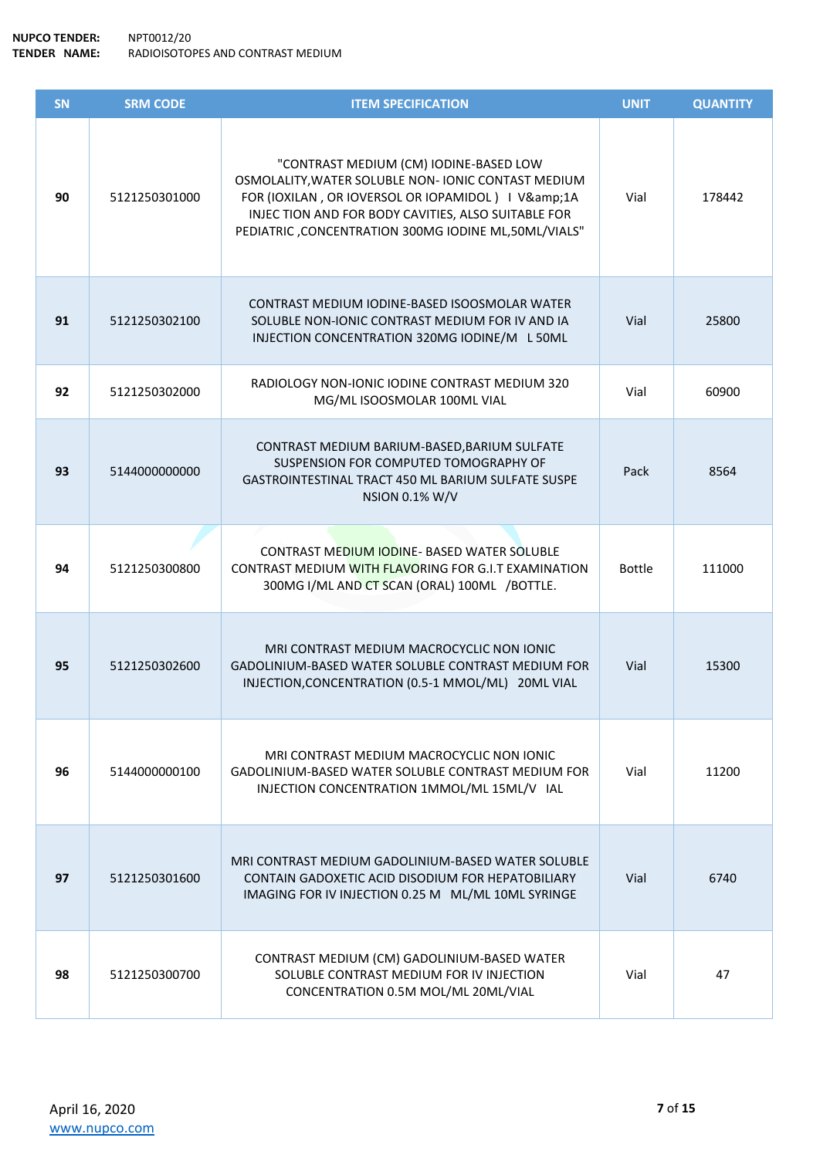| SN | <b>SRM CODE</b> | <b>ITEM SPECIFICATION</b>                                                                                                                                                                                                                                      | <b>UNIT</b>   | <b>QUANTITY</b> |
|----|-----------------|----------------------------------------------------------------------------------------------------------------------------------------------------------------------------------------------------------------------------------------------------------------|---------------|-----------------|
| 90 | 5121250301000   | "CONTRAST MEDIUM (CM) IODINE-BASED LOW<br>OSMOLALITY, WATER SOLUBLE NON- IONIC CONTAST MEDIUM<br>FOR (IOXILAN, OR IOVERSOL OR IOPAMIDOL)   V&1A<br>INJECTION AND FOR BODY CAVITIES, ALSO SUITABLE FOR<br>PEDIATRIC, CONCENTRATION 300MG IODINE ML, 50ML/VIALS" | Vial          | 178442          |
| 91 | 5121250302100   | CONTRAST MEDIUM IODINE-BASED ISOOSMOLAR WATER<br>SOLUBLE NON-IONIC CONTRAST MEDIUM FOR IV AND IA<br>INJECTION CONCENTRATION 320MG IODINE/M L 50ML                                                                                                              | Vial          | 25800           |
| 92 | 5121250302000   | RADIOLOGY NON-IONIC IODINE CONTRAST MEDIUM 320<br>MG/ML ISOOSMOLAR 100ML VIAL                                                                                                                                                                                  | Vial          | 60900           |
| 93 | 5144000000000   | CONTRAST MEDIUM BARIUM-BASED, BARIUM SULFATE<br>SUSPENSION FOR COMPUTED TOMOGRAPHY OF<br>GASTROINTESTINAL TRACT 450 ML BARIUM SULFATE SUSPE<br><b>NSION 0.1% W/V</b>                                                                                           | Pack          | 8564            |
| 94 | 5121250300800   | <b>CONTRAST MEDIUM IODINE- BASED WATER SOLUBLE</b><br>CONTRAST MEDIUM WITH FLAVORING FOR G.I.T EXAMINATION<br>300MG I/ML AND CT SCAN (ORAL) 100ML /BOTTLE.                                                                                                     | <b>Bottle</b> | 111000          |
| 95 | 5121250302600   | MRI CONTRAST MEDIUM MACROCYCLIC NON IONIC<br><b>GADOLINIUM-BASED WATER SOLUBLE CONTRAST MEDIUM FOR</b><br>INJECTION, CONCENTRATION (0.5-1 MMOL/ML) 20ML VIAL                                                                                                   | Vial          | 15300           |
| 96 | 5144000000100   | MRI CONTRAST MEDIUM MACROCYCLIC NON IONIC<br>GADOLINIUM-BASED WATER SOLUBLE CONTRAST MEDIUM FOR<br>INJECTION CONCENTRATION 1MMOL/ML 15ML/V IAL                                                                                                                 | Vial          | 11200           |
| 97 | 5121250301600   | MRI CONTRAST MEDIUM GADOLINIUM-BASED WATER SOLUBLE<br>CONTAIN GADOXETIC ACID DISODIUM FOR HEPATOBILIARY<br>IMAGING FOR IV INJECTION 0.25 M ML/ML 10ML SYRINGE                                                                                                  | Vial          | 6740            |
| 98 | 5121250300700   | CONTRAST MEDIUM (CM) GADOLINIUM-BASED WATER<br>SOLUBLE CONTRAST MEDIUM FOR IV INJECTION<br>CONCENTRATION 0.5M MOL/ML 20ML/VIAL                                                                                                                                 | Vial          | 47              |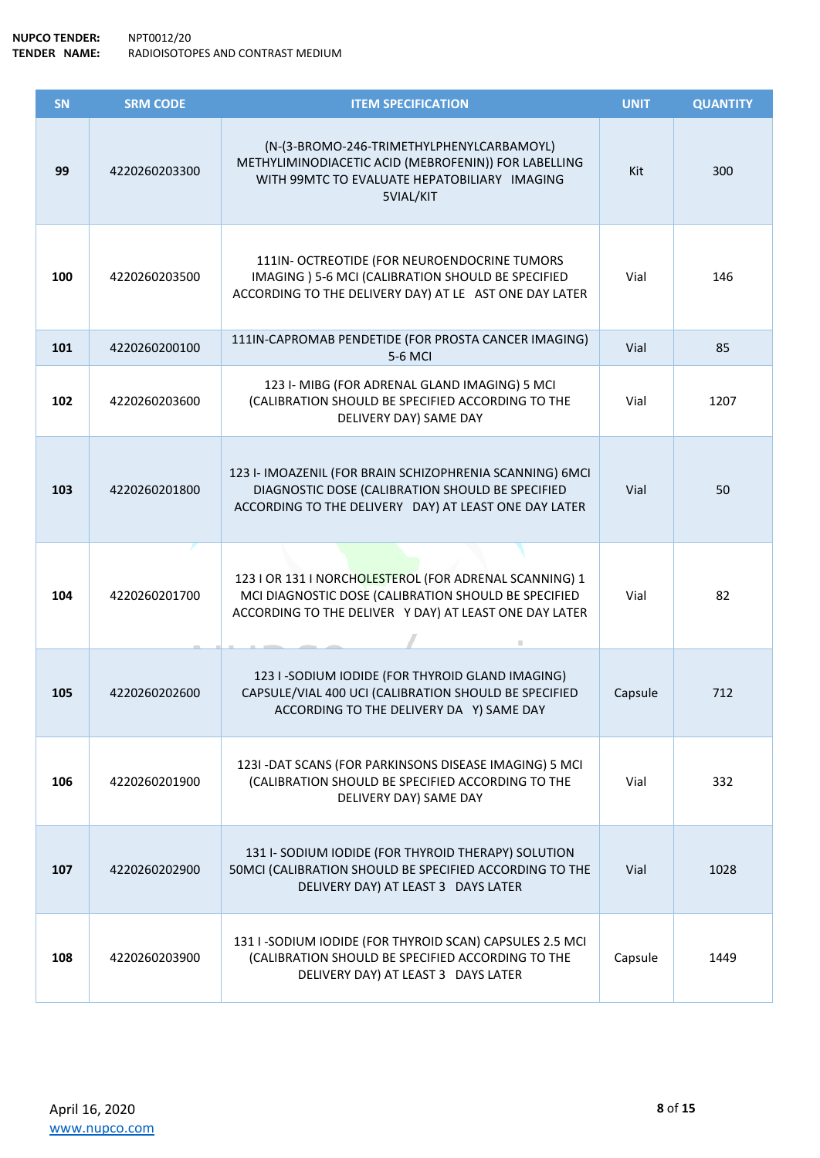| SN  | <b>SRM CODE</b> | <b>ITEM SPECIFICATION</b>                                                                                                                                                | <b>UNIT</b> | <b>QUANTITY</b> |
|-----|-----------------|--------------------------------------------------------------------------------------------------------------------------------------------------------------------------|-------------|-----------------|
| 99  | 4220260203300   | (N-(3-BROMO-246-TRIMETHYLPHENYLCARBAMOYL)<br>METHYLIMINODIACETIC ACID (MEBROFENIN)) FOR LABELLING<br>WITH 99MTC TO EVALUATE HEPATOBILIARY IMAGING<br>5VIAL/KIT           | Kit         | 300             |
| 100 | 4220260203500   | 111IN- OCTREOTIDE (FOR NEUROENDOCRINE TUMORS<br>IMAGING ) 5-6 MCI (CALIBRATION SHOULD BE SPECIFIED<br>ACCORDING TO THE DELIVERY DAY) AT LE AST ONE DAY LATER             | Vial        | 146             |
| 101 | 4220260200100   | 111IN-CAPROMAB PENDETIDE (FOR PROSTA CANCER IMAGING)<br>5-6 MCI                                                                                                          | Vial        | 85              |
| 102 | 4220260203600   | 123 I- MIBG (FOR ADRENAL GLAND IMAGING) 5 MCI<br>(CALIBRATION SHOULD BE SPECIFIED ACCORDING TO THE<br>DELIVERY DAY) SAME DAY                                             | Vial        | 1207            |
| 103 | 4220260201800   | 123 I- IMOAZENIL (FOR BRAIN SCHIZOPHRENIA SCANNING) 6MCI<br>DIAGNOSTIC DOSE (CALIBRATION SHOULD BE SPECIFIED<br>ACCORDING TO THE DELIVERY DAY) AT LEAST ONE DAY LATER    | Vial        | 50              |
| 104 | 4220260201700   | 123   OR 131   NORCHOLESTEROL (FOR ADRENAL SCANNING) 1<br>MCI DIAGNOSTIC DOSE (CALIBRATION SHOULD BE SPECIFIED<br>ACCORDING TO THE DELIVER Y DAY) AT LEAST ONE DAY LATER | Vial        | 82              |
| 105 | 4220260202600   | 123 I -SODIUM IODIDE (FOR THYROID GLAND IMAGING)<br>CAPSULE/VIAL 400 UCI (CALIBRATION SHOULD BE SPECIFIED<br>ACCORDING TO THE DELIVERY DA Y) SAME DAY                    | Capsule     | 712             |
| 106 | 4220260201900   | 123I - DAT SCANS (FOR PARKINSONS DISEASE IMAGING) 5 MCI<br>(CALIBRATION SHOULD BE SPECIFIED ACCORDING TO THE<br>DELIVERY DAY) SAME DAY                                   | Vial        | 332             |
| 107 | 4220260202900   | 131 I-SODIUM IODIDE (FOR THYROID THERAPY) SOLUTION<br>50MCI (CALIBRATION SHOULD BE SPECIFIED ACCORDING TO THE<br>DELIVERY DAY) AT LEAST 3 DAYS LATER                     | Vial        | 1028            |
| 108 | 4220260203900   | 131 I -SODIUM IODIDE (FOR THYROID SCAN) CAPSULES 2.5 MCI<br>(CALIBRATION SHOULD BE SPECIFIED ACCORDING TO THE<br>DELIVERY DAY) AT LEAST 3 DAYS LATER                     | Capsule     | 1449            |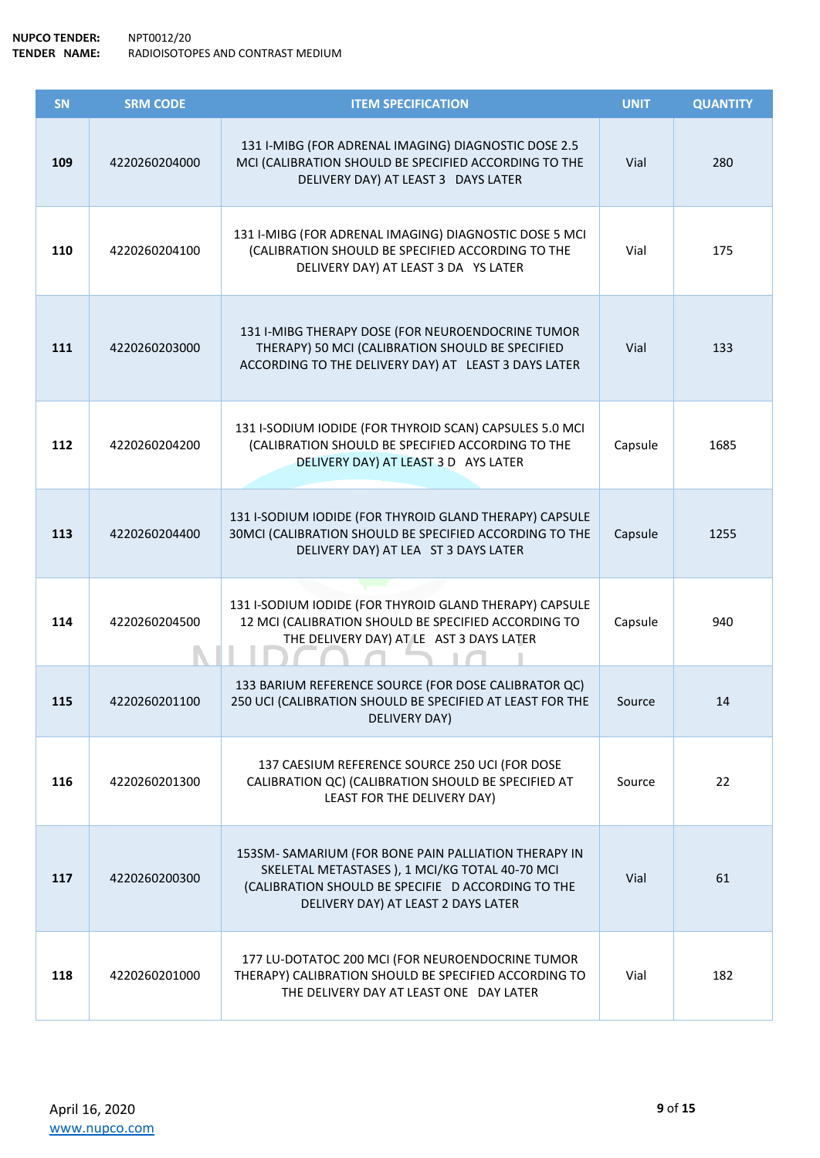| SN  | <b>SRM CODE</b> | <b>ITEM SPECIFICATION</b>                                                                                                                                                                           | <b>UNIT</b> | <b>QUANTITY</b> |
|-----|-----------------|-----------------------------------------------------------------------------------------------------------------------------------------------------------------------------------------------------|-------------|-----------------|
| 109 | 4220260204000   | 131 I-MIBG (FOR ADRENAL IMAGING) DIAGNOSTIC DOSE 2.5<br>MCI (CALIBRATION SHOULD BE SPECIFIED ACCORDING TO THE<br>DELIVERY DAY) AT LEAST 3 DAYS LATER                                                | Vial        | 280             |
| 110 | 4220260204100   | 131 I-MIBG (FOR ADRENAL IMAGING) DIAGNOSTIC DOSE 5 MCI<br>(CALIBRATION SHOULD BE SPECIFIED ACCORDING TO THE<br>DELIVERY DAY) AT LEAST 3 DA YS LATER                                                 | Vial        | 175             |
| 111 | 4220260203000   | 131 I-MIBG THERAPY DOSE (FOR NEUROENDOCRINE TUMOR<br>THERAPY) 50 MCI (CALIBRATION SHOULD BE SPECIFIED<br>ACCORDING TO THE DELIVERY DAY) AT LEAST 3 DAYS LATER                                       | Vial        | 133             |
| 112 | 4220260204200   | 131 I-SODIUM IODIDE (FOR THYROID SCAN) CAPSULES 5.0 MCI<br>(CALIBRATION SHOULD BE SPECIFIED ACCORDING TO THE<br>DELIVERY DAY) AT LEAST 3 D AYS LATER                                                | Capsule     | 1685            |
| 113 | 4220260204400   | 131 I-SODIUM IODIDE (FOR THYROID GLAND THERAPY) CAPSULE<br>30MCI (CALIBRATION SHOULD BE SPECIFIED ACCORDING TO THE<br>DELIVERY DAY) AT LEA ST 3 DAYS LATER                                          | Capsule     | 1255            |
| 114 | 4220260204500   | 131 I-SODIUM IODIDE (FOR THYROID GLAND THERAPY) CAPSULE<br>12 MCI (CALIBRATION SHOULD BE SPECIFIED ACCORDING TO<br>THE DELIVERY DAY) AT LE AST 3 DAYS LATER                                         | Capsule     | 940             |
| 115 | 4220260201100   | 133 BARIUM REFERENCE SOURCE (FOR DOSE CALIBRATOR QC)<br>250 UCI (CALIBRATION SHOULD BE SPECIFIED AT LEAST FOR THE<br>DELIVERY DAY)                                                                  | Source      | 14              |
| 116 | 4220260201300   | 137 CAESIUM REFERENCE SOURCE 250 UCI (FOR DOSE<br>CALIBRATION QC) (CALIBRATION SHOULD BE SPECIFIED AT<br>LEAST FOR THE DELIVERY DAY)                                                                | Source      | 22              |
| 117 | 4220260200300   | 153SM-SAMARIUM (FOR BONE PAIN PALLIATION THERAPY IN<br>SKELETAL METASTASES ), 1 MCI/KG TOTAL 40-70 MCI<br>(CALIBRATION SHOULD BE SPECIFIE D ACCORDING TO THE<br>DELIVERY DAY) AT LEAST 2 DAYS LATER | Vial        | 61              |
| 118 | 4220260201000   | 177 LU-DOTATOC 200 MCI (FOR NEUROENDOCRINE TUMOR<br>THERAPY) CALIBRATION SHOULD BE SPECIFIED ACCORDING TO<br>THE DELIVERY DAY AT LEAST ONE DAY LATER                                                | Vial        | 182             |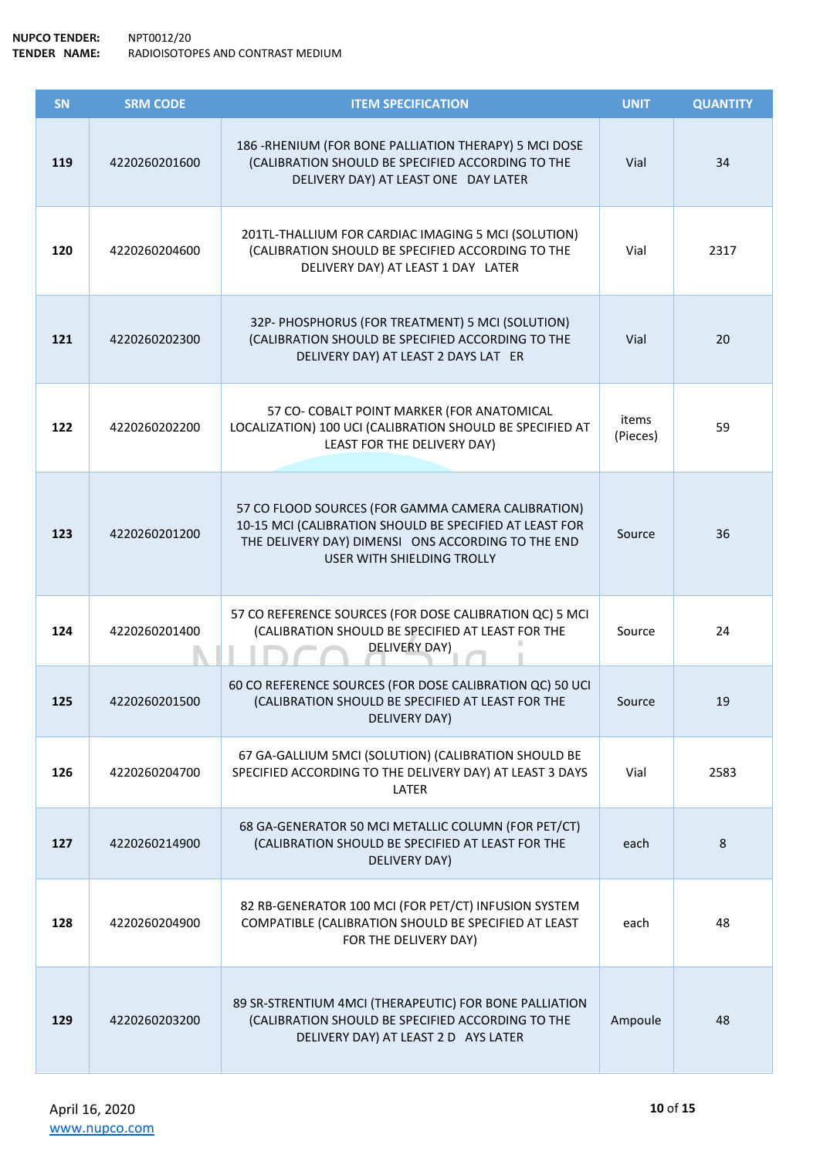| SN  | <b>SRM CODE</b> | <b>ITEM SPECIFICATION</b>                                                                                                                                                                         | <b>UNIT</b>       | <b>QUANTITY</b> |
|-----|-----------------|---------------------------------------------------------------------------------------------------------------------------------------------------------------------------------------------------|-------------------|-----------------|
| 119 | 4220260201600   | 186 - RHENIUM (FOR BONE PALLIATION THERAPY) 5 MCI DOSE<br>(CALIBRATION SHOULD BE SPECIFIED ACCORDING TO THE<br>DELIVERY DAY) AT LEAST ONE DAY LATER                                               | Vial              | 34              |
| 120 | 4220260204600   | 201TL-THALLIUM FOR CARDIAC IMAGING 5 MCI (SOLUTION)<br>(CALIBRATION SHOULD BE SPECIFIED ACCORDING TO THE<br>DELIVERY DAY) AT LEAST 1 DAY LATER                                                    | Vial              | 2317            |
| 121 | 4220260202300   | 32P- PHOSPHORUS (FOR TREATMENT) 5 MCI (SOLUTION)<br>(CALIBRATION SHOULD BE SPECIFIED ACCORDING TO THE<br>DELIVERY DAY) AT LEAST 2 DAYS LAT ER                                                     | Vial              | 20              |
| 122 | 4220260202200   | 57 CO- COBALT POINT MARKER (FOR ANATOMICAL<br>LOCALIZATION) 100 UCI (CALIBRATION SHOULD BE SPECIFIED AT<br>LEAST FOR THE DELIVERY DAY)                                                            | items<br>(Pieces) | 59              |
| 123 | 4220260201200   | 57 CO FLOOD SOURCES (FOR GAMMA CAMERA CALIBRATION)<br>10-15 MCI (CALIBRATION SHOULD BE SPECIFIED AT LEAST FOR<br>THE DELIVERY DAY) DIMENSI ONS ACCORDING TO THE END<br>USER WITH SHIELDING TROLLY | Source            | 36              |
| 124 | 4220260201400   | 57 CO REFERENCE SOURCES (FOR DOSE CALIBRATION QC) 5 MCI<br>(CALIBRATION SHOULD BE SPECIFIED AT LEAST FOR THE<br>DELIVERY DAY)                                                                     | Source            | 24              |
| 125 | 4220260201500   | 60 CO REFERENCE SOURCES (FOR DOSE CALIBRATION QC) 50 UCI<br>(CALIBRATION SHOULD BE SPECIFIED AT LEAST FOR THE<br>DELIVERY DAY)                                                                    | Source            | 19              |
| 126 | 4220260204700   | 67 GA-GALLIUM 5MCI (SOLUTION) (CALIBRATION SHOULD BE<br>SPECIFIED ACCORDING TO THE DELIVERY DAY) AT LEAST 3 DAYS<br>LATER                                                                         | Vial              | 2583            |
| 127 | 4220260214900   | 68 GA-GENERATOR 50 MCI METALLIC COLUMN (FOR PET/CT)<br>(CALIBRATION SHOULD BE SPECIFIED AT LEAST FOR THE<br>DELIVERY DAY)                                                                         | each              | 8               |
| 128 | 4220260204900   | 82 RB-GENERATOR 100 MCI (FOR PET/CT) INFUSION SYSTEM<br>COMPATIBLE (CALIBRATION SHOULD BE SPECIFIED AT LEAST<br>FOR THE DELIVERY DAY)                                                             | each              | 48              |
| 129 | 4220260203200   | 89 SR-STRENTIUM 4MCI (THERAPEUTIC) FOR BONE PALLIATION<br>(CALIBRATION SHOULD BE SPECIFIED ACCORDING TO THE<br>DELIVERY DAY) AT LEAST 2 D AYS LATER                                               | Ampoule           | 48              |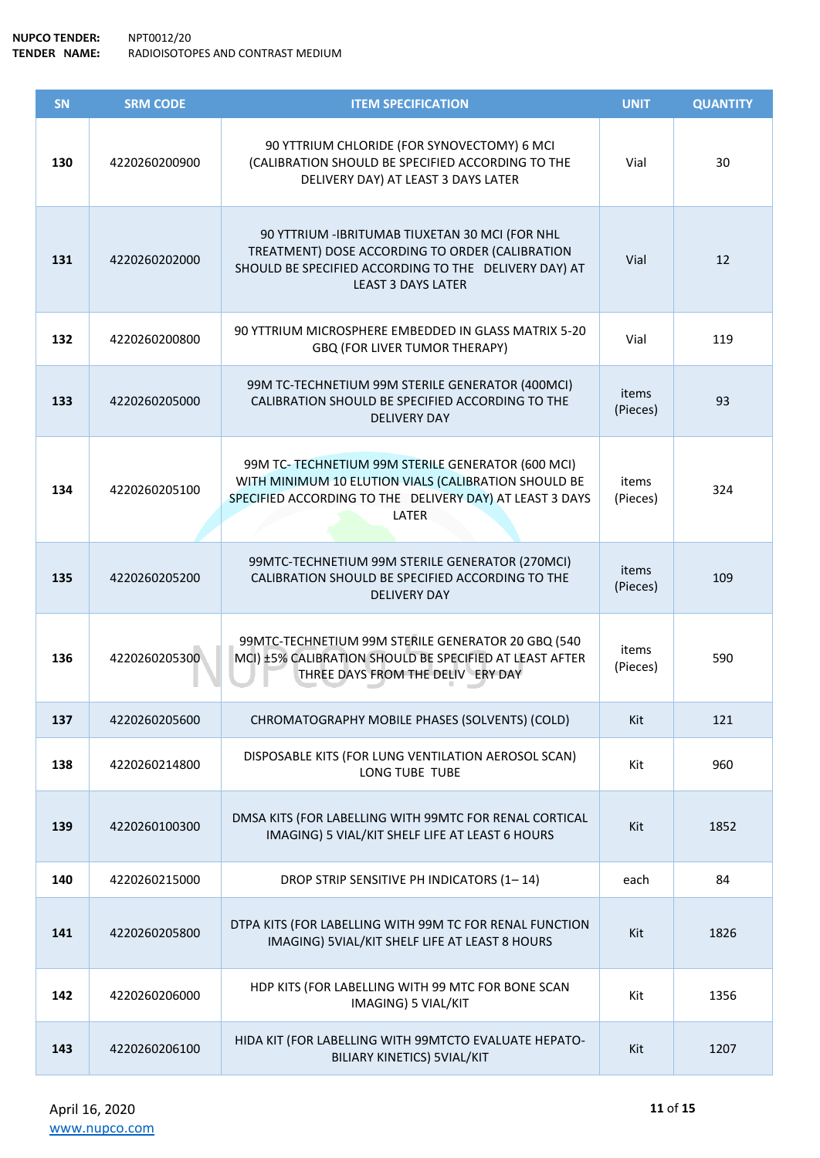| SN  | <b>SRM CODE</b> | <b>ITEM SPECIFICATION</b>                                                                                                                                                                | <b>UNIT</b>       | <b>QUANTITY</b> |
|-----|-----------------|------------------------------------------------------------------------------------------------------------------------------------------------------------------------------------------|-------------------|-----------------|
| 130 | 4220260200900   | 90 YTTRIUM CHLORIDE (FOR SYNOVECTOMY) 6 MCI<br>(CALIBRATION SHOULD BE SPECIFIED ACCORDING TO THE<br>DELIVERY DAY) AT LEAST 3 DAYS LATER                                                  | Vial              | 30              |
| 131 | 4220260202000   | 90 YTTRIUM - IBRITUMAB TIUXETAN 30 MCI (FOR NHL<br>TREATMENT) DOSE ACCORDING TO ORDER (CALIBRATION<br>SHOULD BE SPECIFIED ACCORDING TO THE DELIVERY DAY) AT<br><b>LEAST 3 DAYS LATER</b> | Vial              | 12              |
| 132 | 4220260200800   | 90 YTTRIUM MICROSPHERE EMBEDDED IN GLASS MATRIX 5-20<br>GBQ (FOR LIVER TUMOR THERAPY)                                                                                                    | Vial              | 119             |
| 133 | 4220260205000   | 99M TC-TECHNETIUM 99M STERILE GENERATOR (400MCI)<br>CALIBRATION SHOULD BE SPECIFIED ACCORDING TO THE<br><b>DELIVERY DAY</b>                                                              | items<br>(Pieces) | 93              |
| 134 | 4220260205100   | 99M TC- TECHNETIUM 99M STERILE GENERATOR (600 MCI)<br>WITH MINIMUM 10 ELUTION VIALS (CALIBRATION SHOULD BE<br>SPECIFIED ACCORDING TO THE DELIVERY DAY) AT LEAST 3 DAYS<br>LATER          | items<br>(Pieces) | 324             |
| 135 | 4220260205200   | 99MTC-TECHNETIUM 99M STERILE GENERATOR (270MCI)<br>CALIBRATION SHOULD BE SPECIFIED ACCORDING TO THE<br><b>DELIVERY DAY</b>                                                               | items<br>(Pieces) | 109             |
| 136 | 4220260205300   | 99MTC-TECHNETIUM 99M STERILE GENERATOR 20 GBQ (540<br>MCI) ±5% CALIBRATION SHOULD BE SPECIFIED AT LEAST AFTER<br>THREE DAYS FROM THE DELIV ERY DAY                                       | items<br>(Pieces) | 590             |
| 137 | 4220260205600   | CHROMATOGRAPHY MOBILE PHASES (SOLVENTS) (COLD)                                                                                                                                           | Kit               | 121             |
| 138 | 4220260214800   | DISPOSABLE KITS (FOR LUNG VENTILATION AEROSOL SCAN)<br>LONG TUBE TUBE                                                                                                                    | Kit               | 960             |
| 139 | 4220260100300   | DMSA KITS (FOR LABELLING WITH 99MTC FOR RENAL CORTICAL<br>IMAGING) 5 VIAL/KIT SHELF LIFE AT LEAST 6 HOURS                                                                                | Kit               | 1852            |
| 140 | 4220260215000   | DROP STRIP SENSITIVE PH INDICATORS (1-14)                                                                                                                                                | each              | 84              |
| 141 | 4220260205800   | DTPA KITS (FOR LABELLING WITH 99M TC FOR RENAL FUNCTION<br>IMAGING) 5VIAL/KIT SHELF LIFE AT LEAST 8 HOURS                                                                                | Kit               | 1826            |
| 142 | 4220260206000   | HDP KITS (FOR LABELLING WITH 99 MTC FOR BONE SCAN<br>IMAGING) 5 VIAL/KIT                                                                                                                 | Kit               | 1356            |
| 143 | 4220260206100   | HIDA KIT (FOR LABELLING WITH 99MTCTO EVALUATE HEPATO-<br><b>BILIARY KINETICS) 5VIAL/KIT</b>                                                                                              | Kit               | 1207            |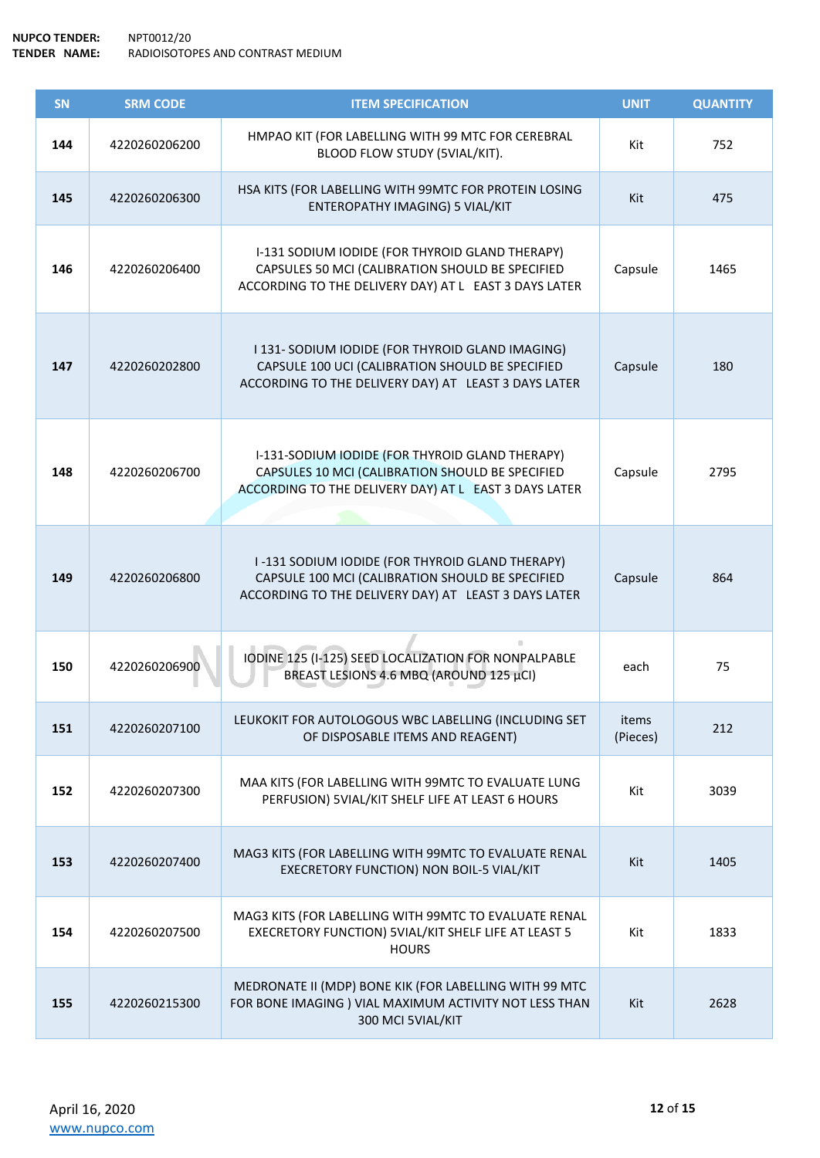| SN  | <b>SRM CODE</b> | <b>ITEM SPECIFICATION</b>                                                                                                                                    | <b>UNIT</b>       | <b>QUANTITY</b> |
|-----|-----------------|--------------------------------------------------------------------------------------------------------------------------------------------------------------|-------------------|-----------------|
| 144 | 4220260206200   | HMPAO KIT (FOR LABELLING WITH 99 MTC FOR CEREBRAL<br>BLOOD FLOW STUDY (5VIAL/KIT).                                                                           | Kit               | 752             |
| 145 | 4220260206300   | HSA KITS (FOR LABELLING WITH 99MTC FOR PROTEIN LOSING<br>ENTEROPATHY IMAGING) 5 VIAL/KIT                                                                     | Kit               | 475             |
| 146 | 4220260206400   | I-131 SODIUM IODIDE (FOR THYROID GLAND THERAPY)<br>CAPSULES 50 MCI (CALIBRATION SHOULD BE SPECIFIED<br>ACCORDING TO THE DELIVERY DAY) AT L EAST 3 DAYS LATER | Capsule           | 1465            |
| 147 | 4220260202800   | I 131- SODIUM IODIDE (FOR THYROID GLAND IMAGING)<br>CAPSULE 100 UCI (CALIBRATION SHOULD BE SPECIFIED<br>ACCORDING TO THE DELIVERY DAY) AT LEAST 3 DAYS LATER | Capsule           | 180             |
| 148 | 4220260206700   | I-131-SODIUM IODIDE (FOR THYROID GLAND THERAPY)<br>CAPSULES 10 MCI (CALIBRATION SHOULD BE SPECIFIED<br>ACCORDING TO THE DELIVERY DAY) AT L EAST 3 DAYS LATER | Capsule           | 2795            |
| 149 | 4220260206800   | I-131 SODIUM IODIDE (FOR THYROID GLAND THERAPY)<br>CAPSULE 100 MCI (CALIBRATION SHOULD BE SPECIFIED<br>ACCORDING TO THE DELIVERY DAY) AT LEAST 3 DAYS LATER  | Capsule           | 864             |
| 150 | 4220260206900   | IODINE 125 (I-125) SEED LOCALIZATION FOR NONPALPABLE<br>BREAST LESIONS 4.6 MBQ (AROUND 125 µCI)                                                              | each              | 75              |
| 151 | 4220260207100   | LEUKOKIT FOR AUTOLOGOUS WBC LABELLING (INCLUDING SET<br>OF DISPOSABLE ITEMS AND REAGENT)                                                                     | items<br>(Pieces) | 212             |
| 152 | 4220260207300   | MAA KITS (FOR LABELLING WITH 99MTC TO EVALUATE LUNG<br>PERFUSION) 5VIAL/KIT SHELF LIFE AT LEAST 6 HOURS                                                      | Kit               | 3039            |
| 153 | 4220260207400   | MAG3 KITS (FOR LABELLING WITH 99MTC TO EVALUATE RENAL<br>EXECRETORY FUNCTION) NON BOIL-5 VIAL/KIT                                                            | Kit               | 1405            |
| 154 | 4220260207500   | MAG3 KITS (FOR LABELLING WITH 99MTC TO EVALUATE RENAL<br>EXECRETORY FUNCTION) 5VIAL/KIT SHELF LIFE AT LEAST 5<br><b>HOURS</b>                                | Kit               | 1833            |
| 155 | 4220260215300   | MEDRONATE II (MDP) BONE KIK (FOR LABELLING WITH 99 MTC<br>FOR BONE IMAGING ) VIAL MAXIMUM ACTIVITY NOT LESS THAN<br>300 MCI 5VIAL/KIT                        | Kit               | 2628            |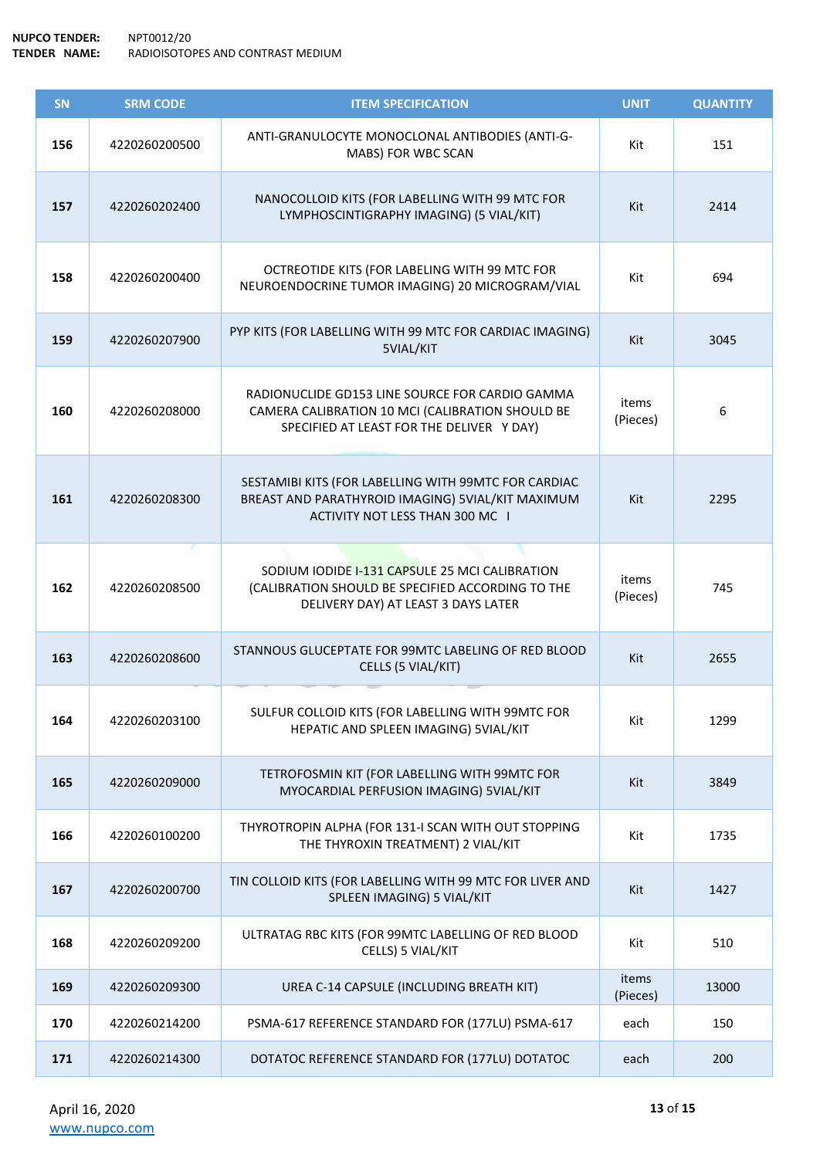| SN  | <b>SRM CODE</b> | <b>ITEM SPECIFICATION</b>                                                                                                                        | <b>UNIT</b>       | <b>QUANTITY</b> |
|-----|-----------------|--------------------------------------------------------------------------------------------------------------------------------------------------|-------------------|-----------------|
| 156 | 4220260200500   | ANTI-GRANULOCYTE MONOCLONAL ANTIBODIES (ANTI-G-<br>MABS) FOR WBC SCAN                                                                            | Kit               | 151             |
| 157 | 4220260202400   | NANOCOLLOID KITS (FOR LABELLING WITH 99 MTC FOR<br>LYMPHOSCINTIGRAPHY IMAGING) (5 VIAL/KIT)                                                      | Kit               | 2414            |
| 158 | 4220260200400   | OCTREOTIDE KITS (FOR LABELING WITH 99 MTC FOR<br>NEUROENDOCRINE TUMOR IMAGING) 20 MICROGRAM/VIAL                                                 | Kit               | 694             |
| 159 | 4220260207900   | PYP KITS (FOR LABELLING WITH 99 MTC FOR CARDIAC IMAGING)<br>5VIAL/KIT                                                                            | Kit               | 3045            |
| 160 | 4220260208000   | RADIONUCLIDE GD153 LINE SOURCE FOR CARDIO GAMMA<br>CAMERA CALIBRATION 10 MCI (CALIBRATION SHOULD BE<br>SPECIFIED AT LEAST FOR THE DELIVER Y DAY) | items<br>(Pieces) | 6               |
| 161 | 4220260208300   | SESTAMIBI KITS (FOR LABELLING WITH 99MTC FOR CARDIAC<br>BREAST AND PARATHYROID IMAGING) 5VIAL/KIT MAXIMUM<br>ACTIVITY NOT LESS THAN 300 MC I     | Kit               | 2295            |
| 162 | 4220260208500   | SODIUM IODIDE I-131 CAPSULE 25 MCI CALIBRATION<br>(CALIBRATION SHOULD BE SPECIFIED ACCORDING TO THE<br>DELIVERY DAY) AT LEAST 3 DAYS LATER       | items<br>(Pieces) | 745             |
| 163 | 4220260208600   | STANNOUS GLUCEPTATE FOR 99MTC LABELING OF RED BLOOD<br>CELLS (5 VIAL/KIT)                                                                        | Kit               | 2655            |
| 164 | 4220260203100   | SULFUR COLLOID KITS (FOR LABELLING WITH 99MTC FOR<br>HEPATIC AND SPLEEN IMAGING) 5VIAL/KIT                                                       | Kit               | 1299            |
| 165 | 4220260209000   | TETROFOSMIN KIT (FOR LABELLING WITH 99MTC FOR<br>MYOCARDIAL PERFUSION IMAGING) 5VIAL/KIT                                                         | Kit               | 3849            |
| 166 | 4220260100200   | THYROTROPIN ALPHA (FOR 131-I SCAN WITH OUT STOPPING<br>THE THYROXIN TREATMENT) 2 VIAL/KIT                                                        | Kit               | 1735            |
| 167 | 4220260200700   | TIN COLLOID KITS (FOR LABELLING WITH 99 MTC FOR LIVER AND<br>SPLEEN IMAGING) 5 VIAL/KIT                                                          | Kit               | 1427            |
| 168 | 4220260209200   | ULTRATAG RBC KITS (FOR 99MTC LABELLING OF RED BLOOD<br>CELLS) 5 VIAL/KIT                                                                         | Kit               | 510             |
| 169 | 4220260209300   | UREA C-14 CAPSULE (INCLUDING BREATH KIT)                                                                                                         | items<br>(Pieces) | 13000           |
| 170 | 4220260214200   | PSMA-617 REFERENCE STANDARD FOR (177LU) PSMA-617                                                                                                 | each              | 150             |
| 171 | 4220260214300   | DOTATOC REFERENCE STANDARD FOR (177LU) DOTATOC                                                                                                   | each              | 200             |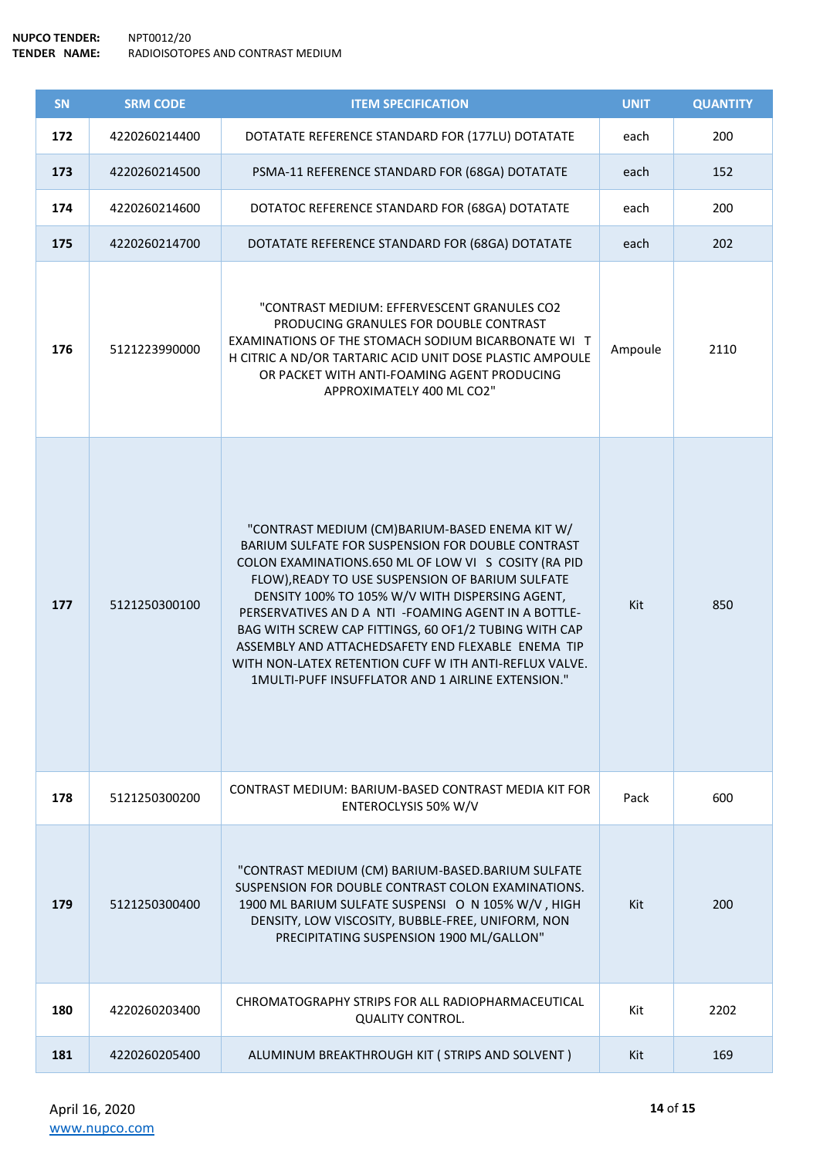**NUPCO TENDER:** NPT0012/20 **TENDER NAME:** RADIOISOTOPES AND CONTRAST MEDIUM

| <b>SN</b> | <b>SRM CODE</b> | <b>ITEM SPECIFICATION</b>                                                                                                                                                                                                                                                                                                                                                                                                                                                                                                                                 | <b>UNIT</b> | <b>QUANTITY</b> |
|-----------|-----------------|-----------------------------------------------------------------------------------------------------------------------------------------------------------------------------------------------------------------------------------------------------------------------------------------------------------------------------------------------------------------------------------------------------------------------------------------------------------------------------------------------------------------------------------------------------------|-------------|-----------------|
| 172       | 4220260214400   | DOTATATE REFERENCE STANDARD FOR (177LU) DOTATATE                                                                                                                                                                                                                                                                                                                                                                                                                                                                                                          | each        | 200             |
| 173       | 4220260214500   | PSMA-11 REFERENCE STANDARD FOR (68GA) DOTATATE                                                                                                                                                                                                                                                                                                                                                                                                                                                                                                            | each        | 152             |
| 174       | 4220260214600   | DOTATOC REFERENCE STANDARD FOR (68GA) DOTATATE                                                                                                                                                                                                                                                                                                                                                                                                                                                                                                            | each        | 200             |
| 175       | 4220260214700   | DOTATATE REFERENCE STANDARD FOR (68GA) DOTATATE                                                                                                                                                                                                                                                                                                                                                                                                                                                                                                           | each        | 202             |
| 176       | 5121223990000   | "CONTRAST MEDIUM: EFFERVESCENT GRANULES CO2<br>PRODUCING GRANULES FOR DOUBLE CONTRAST<br>EXAMINATIONS OF THE STOMACH SODIUM BICARBONATE WI T<br>H CITRIC A ND/OR TARTARIC ACID UNIT DOSE PLASTIC AMPOULE<br>OR PACKET WITH ANTI-FOAMING AGENT PRODUCING<br>APPROXIMATELY 400 ML CO2"                                                                                                                                                                                                                                                                      | Ampoule     | 2110            |
| 177       | 5121250300100   | "CONTRAST MEDIUM (CM)BARIUM-BASED ENEMA KIT W/<br>BARIUM SULFATE FOR SUSPENSION FOR DOUBLE CONTRAST<br>COLON EXAMINATIONS.650 ML OF LOW VI S COSITY (RA PID<br>FLOW), READY TO USE SUSPENSION OF BARIUM SULFATE<br>DENSITY 100% TO 105% W/V WITH DISPERSING AGENT,<br>PERSERVATIVES AN D A NTI - FOAMING AGENT IN A BOTTLE-<br>BAG WITH SCREW CAP FITTINGS, 60 OF1/2 TUBING WITH CAP<br>ASSEMBLY AND ATTACHEDSAFETY END FLEXABLE ENEMA TIP<br>WITH NON-LATEX RETENTION CUFF W ITH ANTI-REFLUX VALVE.<br>1MULTI-PUFF INSUFFLATOR AND 1 AIRLINE EXTENSION." | Kit         | 850             |
| 178       | 5121250300200   | CONTRAST MEDIUM: BARIUM-BASED CONTRAST MEDIA KIT FOR<br>ENTEROCLYSIS 50% W/V                                                                                                                                                                                                                                                                                                                                                                                                                                                                              | Pack        | 600             |
| 179       | 5121250300400   | "CONTRAST MEDIUM (CM) BARIUM-BASED.BARIUM SULFATE<br>SUSPENSION FOR DOUBLE CONTRAST COLON EXAMINATIONS.<br>1900 ML BARIUM SULFATE SUSPENSI O N 105% W/V, HIGH<br>DENSITY, LOW VISCOSITY, BUBBLE-FREE, UNIFORM, NON<br>PRECIPITATING SUSPENSION 1900 ML/GALLON"                                                                                                                                                                                                                                                                                            | Kit         | 200             |
| 180       | 4220260203400   | CHROMATOGRAPHY STRIPS FOR ALL RADIOPHARMACEUTICAL<br><b>QUALITY CONTROL.</b>                                                                                                                                                                                                                                                                                                                                                                                                                                                                              | Kit         | 2202            |
| 181       | 4220260205400   | ALUMINUM BREAKTHROUGH KIT ( STRIPS AND SOLVENT )                                                                                                                                                                                                                                                                                                                                                                                                                                                                                                          | Kit         | 169             |